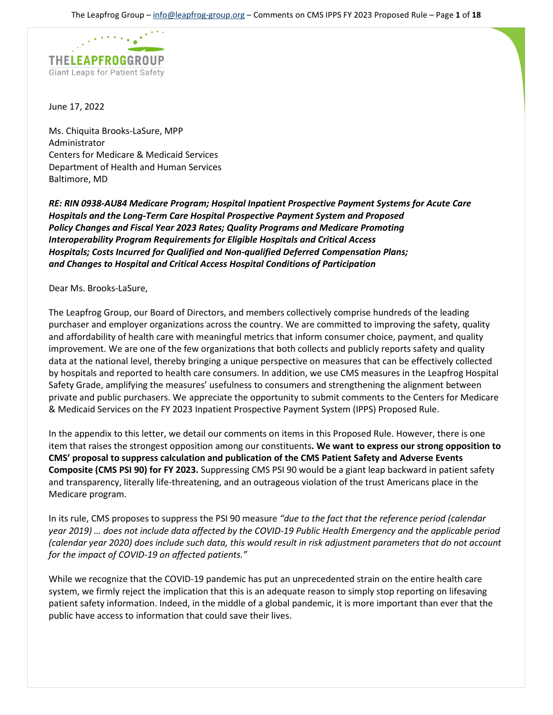

June 17, 2022

Ms. Chiquita Brooks-LaSure, MPP Administrator Centers for Medicare & Medicaid Services Department of Health and Human Services Baltimore, MD

*RE: RIN 0938-AU84 Medicare Program; Hospital Inpatient Prospective Payment Systems for Acute Care Hospitals and the Long-Term Care Hospital Prospective Payment System and Proposed Policy Changes and Fiscal Year 2023 Rates; Quality Programs and Medicare Promoting Interoperability Program Requirements for Eligible Hospitals and Critical Access Hospitals; Costs Incurred for Qualified and Non-qualified Deferred Compensation Plans; and Changes to Hospital and Critical Access Hospital Conditions of Participation*

Dear Ms. Brooks-LaSure,

The Leapfrog Group, our Board of Directors, and members collectively comprise hundreds of the leading purchaser and employer organizations across the country. We are committed to improving the safety, quality and affordability of health care with meaningful metrics that inform consumer choice, payment, and quality improvement. We are one of the few organizations that both collects and publicly reports safety and quality data at the national level, thereby bringing a unique perspective on measures that can be effectively collected by hospitals and reported to health care consumers. In addition, we use CMS measures in the Leapfrog Hospital Safety Grade, amplifying the measures' usefulness to consumers and strengthening the alignment between private and public purchasers. We appreciate the opportunity to submit comments to the Centers for Medicare & Medicaid Services on the FY 2023 Inpatient Prospective Payment System (IPPS) Proposed Rule.

In the appendix to this letter, we detail our comments on items in this Proposed Rule. However, there is one item that raises the strongest opposition among our constituents**. We want to express our strong opposition to CMS' proposal to suppress calculation and publication of the CMS Patient Safety and Adverse Events Composite (CMS PSI 90) for FY 2023.** Suppressing CMS PSI 90 would be a giant leap backward in patient safety and transparency, literally life-threatening, and an outrageous violation of the trust Americans place in the Medicare program.

In its rule, CMS proposes to suppress the PSI 90 measure *"due to the fact that the reference period (calendar year 2019) … does not include data affected by the COVID-19 Public Health Emergency and the applicable period (calendar year 2020) does include such data, this would result in risk adjustment parameters that do not account for the impact of COVID-19 on affected patients."*

While we recognize that the COVID-19 pandemic has put an unprecedented strain on the entire health care system, we firmly reject the implication that this is an adequate reason to simply stop reporting on lifesaving patient safety information. Indeed, in the middle of a global pandemic, it is more important than ever that the public have access to information that could save their lives.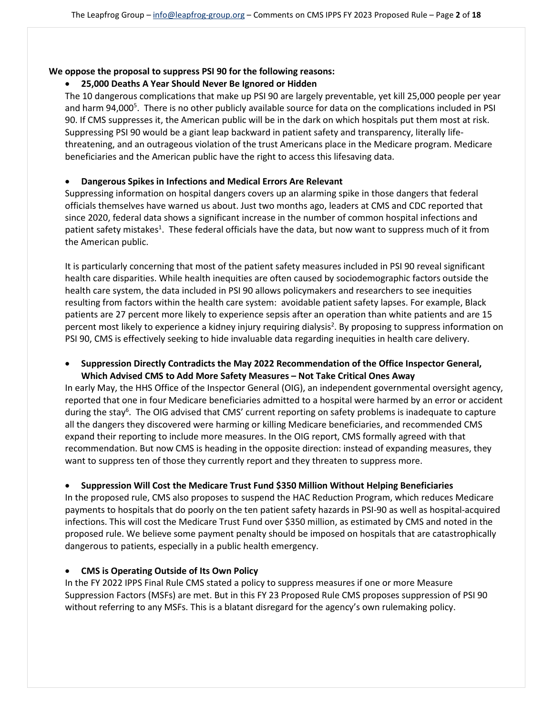#### **We oppose the proposal to suppress PSI 90 for the following reasons:**

## • **25,000 Deaths A Year Should Never Be Ignored or Hidden**

The 10 dangerous complications that make up PSI 90 are largely preventable, yet kill 25,000 people per year and harm 94,000<sup>5</sup>. There is no other publicly available source for data on the complications included in PSI 90. If CMS suppresses it, the American public will be in the dark on which hospitals put them most at risk. Suppressing PSI 90 would be a giant leap backward in patient safety and transparency, literally lifethreatening, and an outrageous violation of the trust Americans place in the Medicare program. Medicare beneficiaries and the American public have the right to access this lifesaving data.

## • **Dangerous Spikes in Infections and Medical Errors Are Relevant**

Suppressing information on hospital dangers covers up an alarming spike in those dangers that federal officials themselves have warned us about. Just two months ago, leaders at CMS and CDC reported that since 2020, federal data shows a significant increase in the number of common hospital infections and patient safety mistakes<sup>1</sup>. These federal officials have the data, but now want to suppress much of it from the American public.

It is particularly concerning that most of the patient safety measures included in PSI 90 reveal significant health care disparities. While health inequities are often caused by sociodemographic factors outside the health care system, the data included in PSI 90 allows policymakers and researchers to see inequities resulting from factors within the health care system: avoidable patient safety lapses. For example, Black patients are 27 percent more likely to experience sepsis after an operation than white patients and are 15 percent most likely to experience a kidney injury requiring dialysis<sup>2</sup>. By proposing to suppress information on PSI 90, CMS is effectively seeking to hide invaluable data regarding inequities in health care delivery.

## • **Suppression Directly Contradicts the May 2022 Recommendation of the Office Inspector General, Which Advised CMS to Add More Safety Measures – Not Take Critical Ones Away**

In early May, the HHS Office of the Inspector General (OIG), an independent governmental oversight agency, reported that one in four Medicare beneficiaries admitted to a hospital were harmed by an error or accident during the stay<sup>6</sup>. The OIG advised that CMS' current reporting on safety problems is inadequate to capture all the dangers they discovered were harming or killing Medicare beneficiaries, and recommended CMS expand their reporting to include more measures. In the OIG report, CMS formally agreed with that recommendation. But now CMS is heading in the opposite direction: instead of expanding measures, they want to suppress ten of those they currently report and they threaten to suppress more.

## • **Suppression Will Cost the Medicare Trust Fund \$350 Million Without Helping Beneficiaries**

In the proposed rule, CMS also proposes to suspend the HAC Reduction Program, which reduces Medicare payments to hospitals that do poorly on the ten patient safety hazards in PSI-90 as well as hospital-acquired infections. This will cost the Medicare Trust Fund over \$350 million, as estimated by CMS and noted in the proposed rule. We believe some payment penalty should be imposed on hospitals that are catastrophically dangerous to patients, especially in a public health emergency.

## • **CMS is Operating Outside of Its Own Policy**

In the FY 2022 IPPS Final Rule CMS stated a policy to suppress measures if one or more Measure Suppression Factors (MSFs) are met. But in this FY 23 Proposed Rule CMS proposes suppression of PSI 90 without referring to any MSFs. This is a blatant disregard for the agency's own rulemaking policy.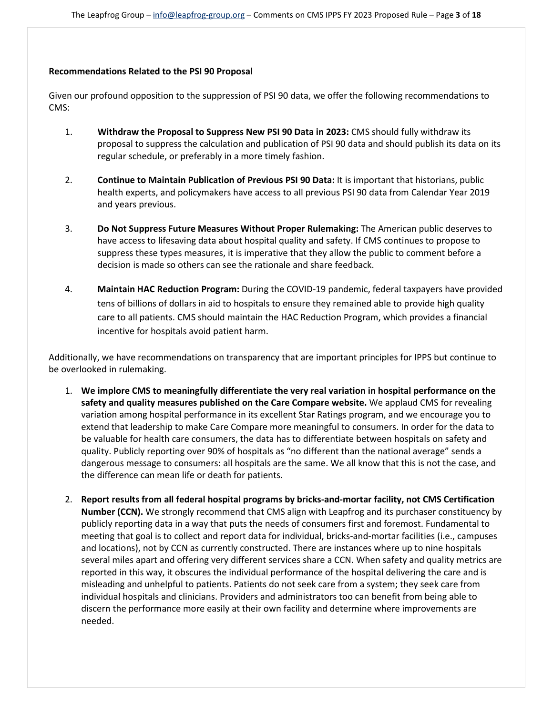#### **Recommendations Related to the PSI 90 Proposal**

Given our profound opposition to the suppression of PSI 90 data, we offer the following recommendations to CMS:

- 1. **Withdraw the Proposal to Suppress New PSI 90 Data in 2023:** CMS should fully withdraw its proposal to suppress the calculation and publication of PSI 90 data and should publish its data on its regular schedule, or preferably in a more timely fashion.
- 2. **Continue to Maintain Publication of Previous PSI 90 Data:** It is important that historians, public health experts, and policymakers have access to all previous PSI 90 data from Calendar Year 2019 and years previous.
- 3. **Do Not Suppress Future Measures Without Proper Rulemaking:** The American public deserves to have access to lifesaving data about hospital quality and safety. If CMS continues to propose to suppress these types measures, it is imperative that they allow the public to comment before a decision is made so others can see the rationale and share feedback.
- 4. **Maintain HAC Reduction Program:** During the COVID-19 pandemic, federal taxpayers have provided tens of billions of dollars in aid to hospitals to ensure they remained able to provide high quality care to all patients. CMS should maintain the HAC Reduction Program, which provides a financial incentive for hospitals avoid patient harm.

Additionally, we have recommendations on transparency that are important principles for IPPS but continue to be overlooked in rulemaking.

- 1. **We implore CMS to meaningfully differentiate the very real variation in hospital performance on the safety and quality measures published on the Care Compare website.** We applaud CMS for revealing variation among hospital performance in its excellent Star Ratings program, and we encourage you to extend that leadership to make Care Compare more meaningful to consumers. In order for the data to be valuable for health care consumers, the data has to differentiate between hospitals on safety and quality. Publicly reporting over 90% of hospitals as "no different than the national average" sends a dangerous message to consumers: all hospitals are the same. We all know that this is not the case, and the difference can mean life or death for patients.
- 2. **Report results from all federal hospital programs by bricks-and-mortar facility, not CMS Certification Number (CCN).** We strongly recommend that CMS align with Leapfrog and its purchaser constituency by publicly reporting data in a way that puts the needs of consumers first and foremost. Fundamental to meeting that goal is to collect and report data for individual, bricks-and-mortar facilities (i.e., campuses and locations), not by CCN as currently constructed. There are instances where up to nine hospitals several miles apart and offering very different services share a CCN. When safety and quality metrics are reported in this way, it obscures the individual performance of the hospital delivering the care and is misleading and unhelpful to patients. Patients do not seek care from a system; they seek care from individual hospitals and clinicians. Providers and administrators too can benefit from being able to discern the performance more easily at their own facility and determine where improvements are needed.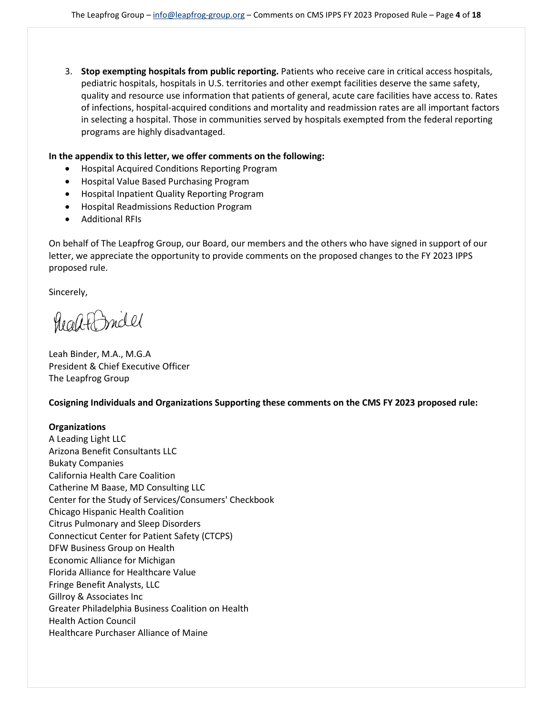3. **Stop exempting hospitals from public reporting.** Patients who receive care in critical access hospitals, pediatric hospitals, hospitals in U.S. territories and other exempt facilities deserve the same safety, quality and resource use information that patients of general, acute care facilities have access to. Rates of infections, hospital-acquired conditions and mortality and readmission rates are all important factors in selecting a hospital. Those in communities served by hospitals exempted from the federal reporting programs are highly disadvantaged.

#### **In the appendix to this letter, we offer comments on the following:**

- Hospital Acquired Conditions Reporting Program
- Hospital Value Based Purchasing Program
- Hospital Inpatient Quality Reporting Program
- Hospital Readmissions Reduction Program
- Additional RFIs

On behalf of The Leapfrog Group, our Board, our members and the others who have signed in support of our letter, we appreciate the opportunity to provide comments on the proposed changes to the FY 2023 IPPS proposed rule.

Sincerely,

healt Indel

Leah Binder, M.A., M.G.A President & Chief Executive Officer The Leapfrog Group

**Cosigning Individuals and Organizations Supporting these comments on the CMS FY 2023 proposed rule:** 

## **Organizations**

A Leading Light LLC Arizona Benefit Consultants LLC Bukaty Companies California Health Care Coalition Catherine M Baase, MD Consulting LLC Center for the Study of Services/Consumers' Checkbook Chicago Hispanic Health Coalition Citrus Pulmonary and Sleep Disorders Connecticut Center for Patient Safety (CTCPS) DFW Business Group on Health Economic Alliance for Michigan Florida Alliance for Healthcare Value Fringe Benefit Analysts, LLC Gillroy & Associates Inc Greater Philadelphia Business Coalition on Health Health Action Council Healthcare Purchaser Alliance of Maine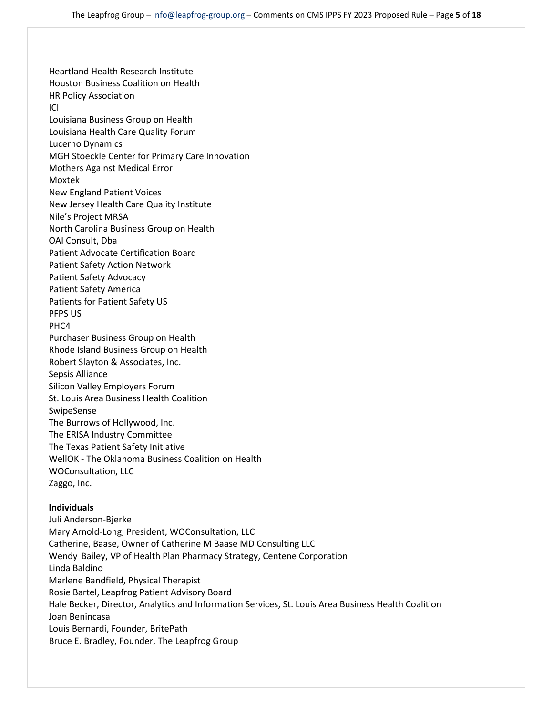Heartland Health Research Institute Houston Business Coalition on Health HR Policy Association ICI Louisiana Business Group on Health Louisiana Health Care Quality Forum Lucerno Dynamics MGH Stoeckle Center for Primary Care Innovation Mothers Against Medical Error Moxtek New England Patient Voices New Jersey Health Care Quality Institute Nile's Project MRSA North Carolina Business Group on Health OAI Consult, Dba Patient Advocate Certification Board Patient Safety Action Network Patient Safety Advocacy Patient Safety America Patients for Patient Safety US PFPS US PHC4 Purchaser Business Group on Health Rhode Island Business Group on Health Robert Slayton & Associates, Inc. Sepsis Alliance Silicon Valley Employers Forum St. Louis Area Business Health Coalition SwipeSense The Burrows of Hollywood, Inc. The ERISA Industry Committee The Texas Patient Safety Initiative WellOK - The Oklahoma Business Coalition on Health WOConsultation, LLC Zaggo, Inc.

#### **Individuals**

Juli Anderson-Bjerke Mary Arnold-Long, President, WOConsultation, LLC Catherine, Baase, Owner of Catherine M Baase MD Consulting LLC Wendy Bailey, VP of Health Plan Pharmacy Strategy, Centene Corporation Linda Baldino Marlene Bandfield, Physical Therapist Rosie Bartel, Leapfrog Patient Advisory Board Hale Becker, Director, Analytics and Information Services, St. Louis Area Business Health Coalition Joan Benincasa Louis Bernardi, Founder, BritePath Bruce E. Bradley, Founder, The Leapfrog Group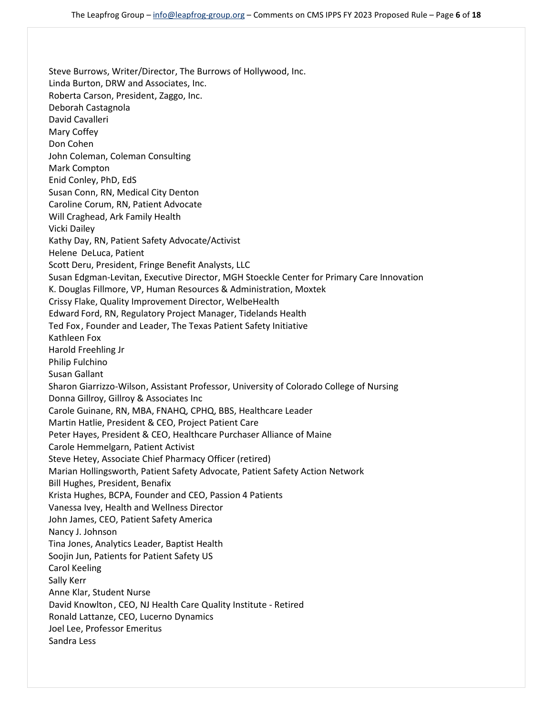Steve Burrows, Writer/Director, The Burrows of Hollywood, Inc. Linda Burton, DRW and Associates, Inc. Roberta Carson, President, Zaggo, Inc. Deborah Castagnola David Cavalleri Mary Coffey Don Cohen John Coleman, Coleman Consulting Mark Compton Enid Conley, PhD, EdS Susan Conn, RN, Medical City Denton Caroline Corum, RN, Patient Advocate Will Craghead, Ark Family Health Vicki Dailey Kathy Day, RN, Patient Safety Advocate/Activist Helene DeLuca, Patient Scott Deru, President, Fringe Benefit Analysts, LLC Susan Edgman-Levitan, Executive Director, MGH Stoeckle Center for Primary Care Innovation K. Douglas Fillmore, VP, Human Resources & Administration, Moxtek Crissy Flake, Quality Improvement Director, WelbeHealth Edward Ford, RN, Regulatory Project Manager, Tidelands Health Ted Fox , Founder and Leader, The Texas Patient Safety Initiative Kathleen Fox Harold Freehling Jr Philip Fulchino Susan Gallant Sharon Giarrizzo-Wilson, Assistant Professor, University of Colorado College of Nursing Donna Gillroy, Gillroy & Associates Inc Carole Guinane, RN, MBA, FNAHQ, CPHQ, BBS, Healthcare Leader Martin Hatlie, President & CEO, Project Patient Care Peter Hayes, President & CEO, Healthcare Purchaser Alliance of Maine Carole Hemmelgarn, Patient Activist Steve Hetey, Associate Chief Pharmacy Officer (retired) Marian Hollingsworth, Patient Safety Advocate, Patient Safety Action Network Bill Hughes, President, Benafix Krista Hughes, BCPA, Founder and CEO, Passion 4 Patients Vanessa Ivey, Health and Wellness Director John James, CEO, Patient Safety America Nancy J. Johnson Tina Jones, Analytics Leader, Baptist Health Soojin Jun, Patients for Patient Safety US Carol Keeling Sally Kerr Anne Klar, Student Nurse David Knowlton, CEO, NJ Health Care Quality Institute - Retired Ronald Lattanze, CEO, Lucerno Dynamics Joel Lee, Professor Emeritus Sandra Less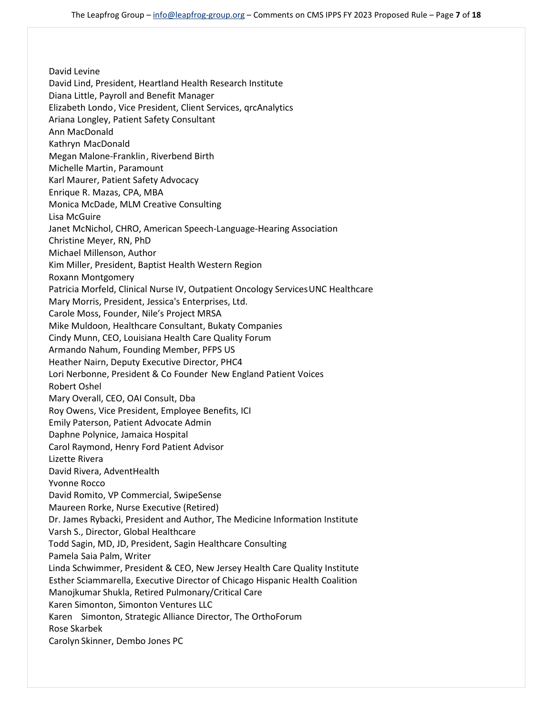David Levine David Lind, President, Heartland Health Research Institute Diana Little, Payroll and Benefit Manager Elizabeth Londo, Vice President, Client Services, qrcAnalytics Ariana Longley, Patient Safety Consultant Ann MacDonald Kathryn MacDonald Megan Malone-Franklin, Riverbend Birth Michelle Martin, Paramount Karl Maurer, Patient Safety Advocacy Enrique R. Mazas, CPA, MBA Monica McDade, MLM Creative Consulting Lisa McGuire Janet McNichol, CHRO, American Speech-Language-Hearing Association Christine Meyer, RN, PhD Michael Millenson, Author Kim Miller, President, Baptist Health Western Region Roxann Montgomery Patricia Morfeld, Clinical Nurse IV, Outpatient Oncology ServicesUNC Healthcare Mary Morris, President, Jessica's Enterprises, Ltd. Carole Moss, Founder, Nile's Project MRSA Mike Muldoon, Healthcare Consultant, Bukaty Companies Cindy Munn, CEO, Louisiana Health Care Quality Forum Armando Nahum, Founding Member, PFPS US Heather Nairn, Deputy Executive Director, PHC4 Lori Nerbonne, President & Co Founder New England Patient Voices Robert Oshel Mary Overall, CEO, OAI Consult, Dba Roy Owens, Vice President, Employee Benefits, ICI Emily Paterson, Patient Advocate Admin Daphne Polynice, Jamaica Hospital Carol Raymond, Henry Ford Patient Advisor Lizette Rivera David Rivera, AdventHealth Yvonne Rocco David Romito, VP Commercial, SwipeSense Maureen Rorke, Nurse Executive (Retired) Dr. James Rybacki, President and Author, The Medicine Information Institute Varsh S., Director, Global Healthcare Todd Sagin, MD, JD, President, Sagin Healthcare Consulting Pamela Saia Palm, Writer Linda Schwimmer, President & CEO, New Jersey Health Care Quality Institute Esther Sciammarella, Executive Director of Chicago Hispanic Health Coalition Manojkumar Shukla, Retired Pulmonary/Critical Care Karen Simonton, Simonton Ventures LLC Karen Simonton, Strategic Alliance Director, The OrthoForum Rose Skarbek Carolyn Skinner, Dembo Jones PC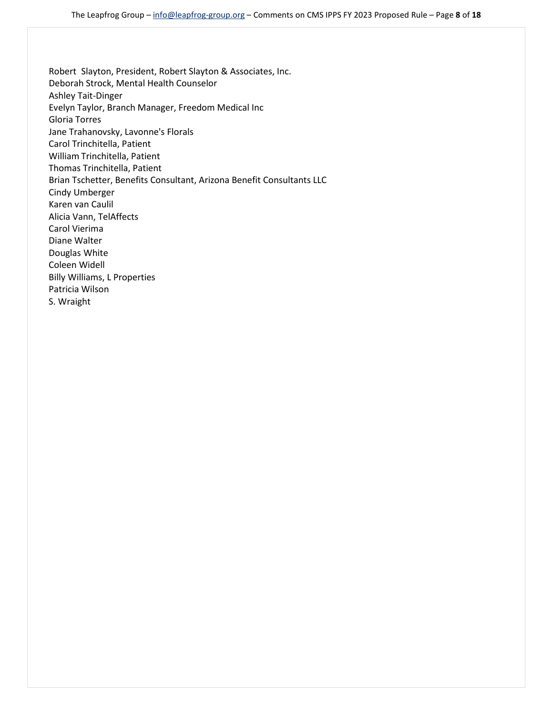Robert Slayton, President, Robert Slayton & Associates, Inc. Deborah Strock, Mental Health Counselor Ashley Tait-Dinger Evelyn Taylor, Branch Manager, Freedom Medical Inc Gloria Torres Jane Trahanovsky, Lavonne's Florals Carol Trinchitella, Patient William Trinchitella, Patient Thomas Trinchitella, Patient Brian Tschetter, Benefits Consultant, Arizona Benefit Consultants LLC Cindy Umberger Karen van Caulil Alicia Vann, TelAffects Carol Vierima Diane Walter Douglas White Coleen Widell Billy Williams, L Properties Patricia Wilson S. Wraight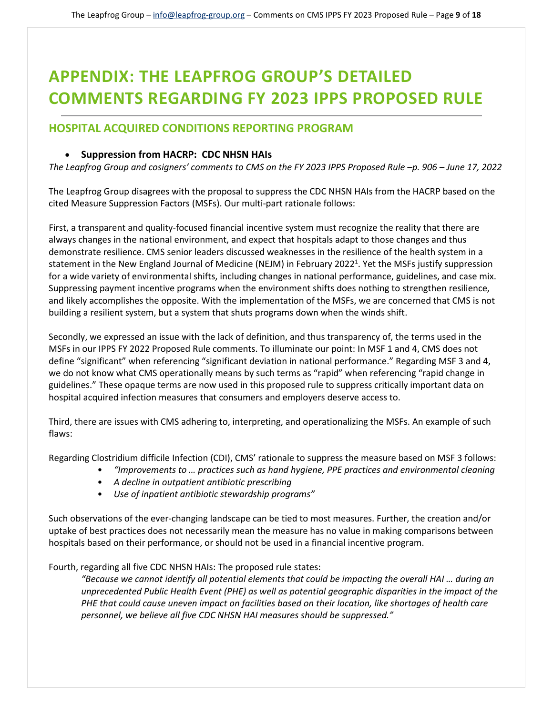# **APPENDIX: THE LEAPFROG GROUP'S DETAILED COMMENTS REGARDING FY 2023 IPPS PROPOSED RULE**

# **HOSPITAL ACQUIRED CONDITIONS REPORTING PROGRAM**

## • **Suppression from HACRP: CDC NHSN HAIs**

*The Leapfrog Group and cosigners' comments to CMS on the FY 2023 IPPS Proposed Rule –p. 906 – June 17, 2022*

The Leapfrog Group disagrees with the proposal to suppress the CDC NHSN HAIs from the HACRP based on the cited Measure Suppression Factors (MSFs). Our multi-part rationale follows:

First, a transparent and quality-focused financial incentive system must recognize the reality that there are always changes in the national environment, and expect that hospitals adapt to those changes and thus demonstrate resilience. CMS senior leaders discussed weaknesses in the resilience of the health system in a statement in the New England Journal of Medicine (NEJM) in February 2022<sup>1</sup>. Yet the MSFs justify suppression for a wide variety of environmental shifts, including changes in national performance, guidelines, and case mix. Suppressing payment incentive programs when the environment shifts does nothing to strengthen resilience, and likely accomplishes the opposite. With the implementation of the MSFs, we are concerned that CMS is not building a resilient system, but a system that shuts programs down when the winds shift.

Secondly, we expressed an issue with the lack of definition, and thus transparency of, the terms used in the MSFs in our IPPS FY 2022 Proposed Rule comments. To illuminate our point: In MSF 1 and 4, CMS does not define "significant" when referencing "significant deviation in national performance." Regarding MSF 3 and 4, we do not know what CMS operationally means by such terms as "rapid" when referencing "rapid change in guidelines." These opaque terms are now used in this proposed rule to suppress critically important data on hospital acquired infection measures that consumers and employers deserve access to.

Third, there are issues with CMS adhering to, interpreting, and operationalizing the MSFs. An example of such flaws:

Regarding Clostridium difficile Infection (CDI), CMS' rationale to suppress the measure based on MSF 3 follows:

- *"Improvements to … practices such as hand hygiene, PPE practices and environmental cleaning*
- *A decline in outpatient antibiotic prescribing*
- *Use of inpatient antibiotic stewardship programs"*

Such observations of the ever-changing landscape can be tied to most measures. Further, the creation and/or uptake of best practices does not necessarily mean the measure has no value in making comparisons between hospitals based on their performance, or should not be used in a financial incentive program.

Fourth, regarding all five CDC NHSN HAIs: The proposed rule states:

*"Because we cannot identify all potential elements that could be impacting the overall HAI … during an unprecedented Public Health Event (PHE) as well as potential geographic disparities in the impact of the PHE that could cause uneven impact on facilities based on their location, like shortages of health care personnel, we believe all five CDC NHSN HAI measures should be suppressed."*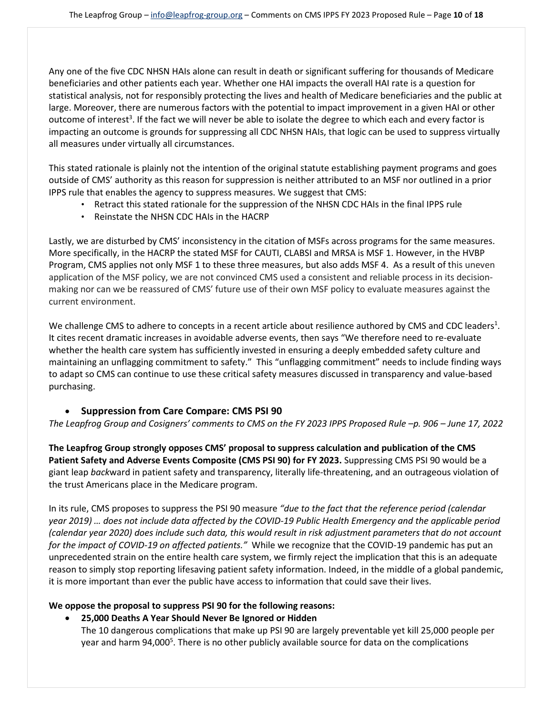Any one of the five CDC NHSN HAIs alone can result in death or significant suffering for thousands of Medicare beneficiaries and other patients each year. Whether one HAI impacts the overall HAI rate is a question for statistical analysis, not for responsibly protecting the lives and health of Medicare beneficiaries and the public at large. Moreover, there are numerous factors with the potential to impact improvement in a given HAI or other outcome of interest<sup>3</sup>. If the fact we will never be able to isolate the degree to which each and every factor is impacting an outcome is grounds for suppressing all CDC NHSN HAIs, that logic can be used to suppress virtually all measures under virtually all circumstances.

This stated rationale is plainly not the intention of the original statute establishing payment programs and goes outside of CMS' authority as this reason for suppression is neither attributed to an MSF nor outlined in a prior IPPS rule that enables the agency to suppress measures. We suggest that CMS:

- Retract this stated rationale for the suppression of the NHSN CDC HAIs in the final IPPS rule
- Reinstate the NHSN CDC HAIs in the HACRP

Lastly, we are disturbed by CMS' inconsistency in the citation of MSFs across programs for the same measures. More specifically, in the HACRP the stated MSF for CAUTI, CLABSI and MRSA is MSF 1. However, in the HVBP Program, CMS applies not only MSF 1 to these three measures, but also adds MSF 4. As a result of this uneven application of the MSF policy, we are not convinced CMS used a consistent and reliable process in its decisionmaking nor can we be reassured of CMS' future use of their own MSF policy to evaluate measures against the current environment.

We challenge CMS to adhere to concepts in a recent article about resilience authored by CMS and CDC leaders<sup>1</sup>. It cites recent dramatic increases in avoidable adverse events, then says "We therefore need to re-evaluate whether the health care system has sufficiently invested in ensuring a deeply embedded safety culture and maintaining an unflagging commitment to safety." This "unflagging commitment" needs to include finding ways to adapt so CMS can continue to use these critical safety measures discussed in transparency and value-based purchasing.

#### • **Suppression from Care Compare: CMS PSI 90**

*The Leapfrog Group and Cosigners' comments to CMS on the FY 2023 IPPS Proposed Rule –p. 906 – June 17, 2022*

**The Leapfrog Group strongly opposes CMS' proposal to suppress calculation and publication of the CMS Patient Safety and Adverse Events Composite (CMS PSI 90) for FY 2023.** Suppressing CMS PSI 90 would be a giant leap *back*ward in patient safety and transparency, literally life-threatening, and an outrageous violation of the trust Americans place in the Medicare program.

In its rule, CMS proposes to suppress the PSI 90 measure *"due to the fact that the reference period (calendar year 2019) … does not include data affected by the COVID-19 Public Health Emergency and the applicable period (calendar year 2020) does include such data, this would result in risk adjustment parameters that do not account for the impact of COVID-19 on affected patients."* While we recognize that the COVID-19 pandemic has put an unprecedented strain on the entire health care system, we firmly reject the implication that this is an adequate reason to simply stop reporting lifesaving patient safety information. Indeed, in the middle of a global pandemic, it is more important than ever the public have access to information that could save their lives.

## **We oppose the proposal to suppress PSI 90 for the following reasons:**

• **25,000 Deaths A Year Should Never Be Ignored or Hidden** 

The 10 dangerous complications that make up PSI 90 are largely preventable yet kill 25,000 people per year and harm 94,000<sup>5</sup>. There is no other publicly available source for data on the complications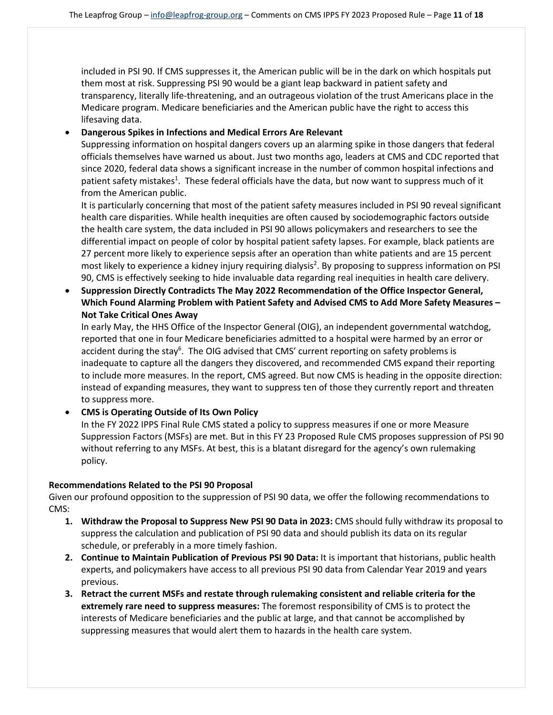included in PSI 90. If CMS suppresses it, the American public will be in the dark on which hospitals put them most at risk. Suppressing PSI 90 would be a giant leap backward in patient safety and transparency, literally life-threatening, and an outrageous violation of the trust Americans place in the Medicare program. Medicare beneficiaries and the American public have the right to access this lifesaving data.

#### • **Dangerous Spikes in Infections and Medical Errors Are Relevant**

Suppressing information on hospital dangers covers up an alarming spike in those dangers that federal officials themselves have warned us about. Just two months ago, leaders at CMS and CDC reported that since 2020, federal data shows a significant increase in the number of common hospital infections and patient safety mistakes<sup>1</sup>. These federal officials have the data, but now want to suppress much of it from the American public.

It is particularly concerning that most of the patient safety measures included in PSI 90 reveal significant health care disparities. While health inequities are often caused by sociodemographic factors outside the health care system, the data included in PSI 90 allows policymakers and researchers to see the differential impact on people of color by hospital patient safety lapses. For example, black patients are 27 percent more likely to experience sepsis after an operation than white patients and are 15 percent most likely to experience a kidney injury requiring dialysis<sup>2</sup>. By proposing to suppress information on PSI 90, CMS is effectively seeking to hide invaluable data regarding real inequities in health care delivery.

• **Suppression Directly Contradicts The May 2022 Recommendation of the Office Inspector General, Which Found Alarming Problem with Patient Safety and Advised CMS to Add More Safety Measures – Not Take Critical Ones Away** 

In early May, the HHS Office of the Inspector General (OIG), an independent governmental watchdog, reported that one in four Medicare beneficiaries admitted to a hospital were harmed by an error or accident during the stay<sup>6</sup>. The OIG advised that CMS' current reporting on safety problems is inadequate to capture all the dangers they discovered, and recommended CMS expand their reporting to include more measures. In the report, CMS agreed. But now CMS is heading in the opposite direction: instead of expanding measures, they want to suppress ten of those they currently report and threaten to suppress more.

## • **CMS is Operating Outside of Its Own Policy**

In the FY 2022 IPPS Final Rule CMS stated a policy to suppress measures if one or more Measure Suppression Factors (MSFs) are met. But in this FY 23 Proposed Rule CMS proposes suppression of PSI 90 without referring to any MSFs. At best, this is a blatant disregard for the agency's own rulemaking policy.

#### **Recommendations Related to the PSI 90 Proposal**

Given our profound opposition to the suppression of PSI 90 data, we offer the following recommendations to CMS:

- **1. Withdraw the Proposal to Suppress New PSI 90 Data in 2023:** CMS should fully withdraw its proposal to suppress the calculation and publication of PSI 90 data and should publish its data on its regular schedule, or preferably in a more timely fashion.
- **2. Continue to Maintain Publication of Previous PSI 90 Data:** It is important that historians, public health experts, and policymakers have access to all previous PSI 90 data from Calendar Year 2019 and years previous.
- **3. Retract the current MSFs and restate through rulemaking consistent and reliable criteria for the extremely rare need to suppress measures:** The foremost responsibility of CMS is to protect the interests of Medicare beneficiaries and the public at large, and that cannot be accomplished by suppressing measures that would alert them to hazards in the health care system.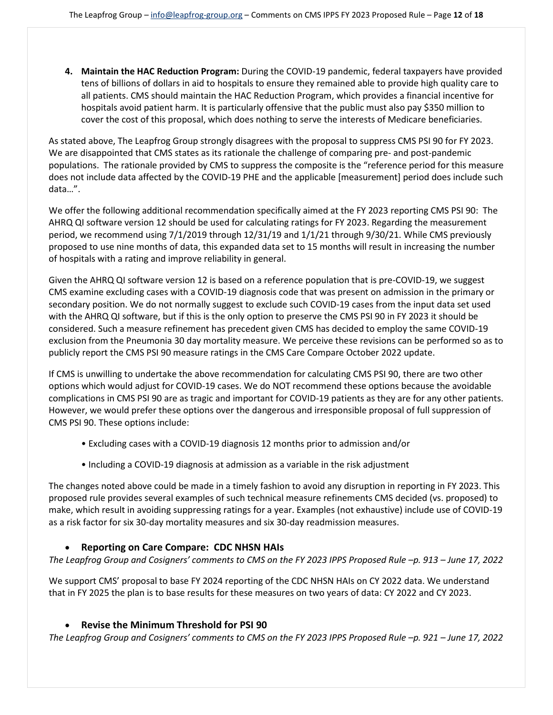**4. Maintain the HAC Reduction Program:** During the COVID-19 pandemic, federal taxpayers have provided tens of billions of dollars in aid to hospitals to ensure they remained able to provide high quality care to all patients. CMS should maintain the HAC Reduction Program, which provides a financial incentive for hospitals avoid patient harm. It is particularly offensive that the public must also pay \$350 million to cover the cost of this proposal, which does nothing to serve the interests of Medicare beneficiaries.

As stated above, The Leapfrog Group strongly disagrees with the proposal to suppress CMS PSI 90 for FY 2023. We are disappointed that CMS states as its rationale the challenge of comparing pre- and post-pandemic populations. The rationale provided by CMS to suppress the composite is the "reference period for this measure does not include data affected by the COVID-19 PHE and the applicable [measurement] period does include such data…".

We offer the following additional recommendation specifically aimed at the FY 2023 reporting CMS PSI 90: The AHRQ QI software version 12 should be used for calculating ratings for FY 2023. Regarding the measurement period, we recommend using 7/1/2019 through 12/31/19 and 1/1/21 through 9/30/21. While CMS previously proposed to use nine months of data, this expanded data set to 15 months will result in increasing the number of hospitals with a rating and improve reliability in general.

Given the AHRQ QI software version 12 is based on a reference population that is pre-COVID-19, we suggest CMS examine excluding cases with a COVID-19 diagnosis code that was present on admission in the primary or secondary position. We do not normally suggest to exclude such COVID-19 cases from the input data set used with the AHRQ QI software, but if this is the only option to preserve the CMS PSI 90 in FY 2023 it should be considered. Such a measure refinement has precedent given CMS has decided to employ the same COVID-19 exclusion from the Pneumonia 30 day mortality measure. We perceive these revisions can be performed so as to publicly report the CMS PSI 90 measure ratings in the CMS Care Compare October 2022 update.

If CMS is unwilling to undertake the above recommendation for calculating CMS PSI 90, there are two other options which would adjust for COVID-19 cases. We do NOT recommend these options because the avoidable complications in CMS PSI 90 are as tragic and important for COVID-19 patients as they are for any other patients. However, we would prefer these options over the dangerous and irresponsible proposal of full suppression of CMS PSI 90. These options include:

- Excluding cases with a COVID-19 diagnosis 12 months prior to admission and/or
- Including a COVID-19 diagnosis at admission as a variable in the risk adjustment

The changes noted above could be made in a timely fashion to avoid any disruption in reporting in FY 2023. This proposed rule provides several examples of such technical measure refinements CMS decided (vs. proposed) to make, which result in avoiding suppressing ratings for a year. Examples (not exhaustive) include use of COVID-19 as a risk factor for six 30-day mortality measures and six 30-day readmission measures.

## • **Reporting on Care Compare: CDC NHSN HAIs**

## *The Leapfrog Group and Cosigners' comments to CMS on the FY 2023 IPPS Proposed Rule –p. 913 – June 17, 2022*

We support CMS' proposal to base FY 2024 reporting of the CDC NHSN HAIs on CY 2022 data. We understand that in FY 2025 the plan is to base results for these measures on two years of data: CY 2022 and CY 2023.

## • **Revise the Minimum Threshold for PSI 90**

*The Leapfrog Group and Cosigners' comments to CMS on the FY 2023 IPPS Proposed Rule –p. 921 – June 17, 2022*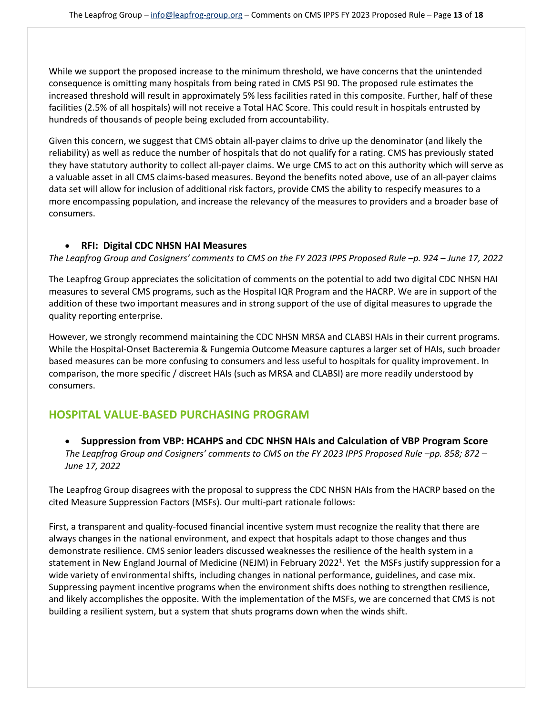While we support the proposed increase to the minimum threshold, we have concerns that the unintended consequence is omitting many hospitals from being rated in CMS PSI 90. The proposed rule estimates the increased threshold will result in approximately 5% less facilities rated in this composite. Further, half of these facilities (2.5% of all hospitals) will not receive a Total HAC Score. This could result in hospitals entrusted by hundreds of thousands of people being excluded from accountability.

Given this concern, we suggest that CMS obtain all-payer claims to drive up the denominator (and likely the reliability) as well as reduce the number of hospitals that do not qualify for a rating. CMS has previously stated they have statutory authority to collect all-payer claims. We urge CMS to act on this authority which will serve as a valuable asset in all CMS claims-based measures. Beyond the benefits noted above, use of an all-payer claims data set will allow for inclusion of additional risk factors, provide CMS the ability to respecify measures to a more encompassing population, and increase the relevancy of the measures to providers and a broader base of consumers.

## • **RFI: Digital CDC NHSN HAI Measures**

*The Leapfrog Group and Cosigners' comments to CMS on the FY 2023 IPPS Proposed Rule –p. 924 – June 17, 2022*

The Leapfrog Group appreciates the solicitation of comments on the potential to add two digital CDC NHSN HAI measures to several CMS programs, such as the Hospital IQR Program and the HACRP. We are in support of the addition of these two important measures and in strong support of the use of digital measures to upgrade the quality reporting enterprise.

However, we strongly recommend maintaining the CDC NHSN MRSA and CLABSI HAIs in their current programs. While the Hospital-Onset Bacteremia & Fungemia Outcome Measure captures a larger set of HAIs, such broader based measures can be more confusing to consumers and less useful to hospitals for quality improvement. In comparison, the more specific / discreet HAIs (such as MRSA and CLABSI) are more readily understood by consumers.

# **HOSPITAL VALUE-BASED PURCHASING PROGRAM**

• **Suppression from VBP: HCAHPS and CDC NHSN HAIs and Calculation of VBP Program Score** *The Leapfrog Group and Cosigners' comments to CMS on the FY 2023 IPPS Proposed Rule –pp. 858; 872 – June 17, 2022*

The Leapfrog Group disagrees with the proposal to suppress the CDC NHSN HAIs from the HACRP based on the cited Measure Suppression Factors (MSFs). Our multi-part rationale follows:

First, a transparent and quality-focused financial incentive system must recognize the reality that there are always changes in the national environment, and expect that hospitals adapt to those changes and thus demonstrate resilience. CMS senior leaders discussed weaknesses the resilience of the health system in a statement in New England Journal of Medicine (NEJM) in February 2022<sup>1</sup>. Yet the MSFs justify suppression for a wide variety of environmental shifts, including changes in national performance, guidelines, and case mix. Suppressing payment incentive programs when the environment shifts does nothing to strengthen resilience, and likely accomplishes the opposite. With the implementation of the MSFs, we are concerned that CMS is not building a resilient system, but a system that shuts programs down when the winds shift.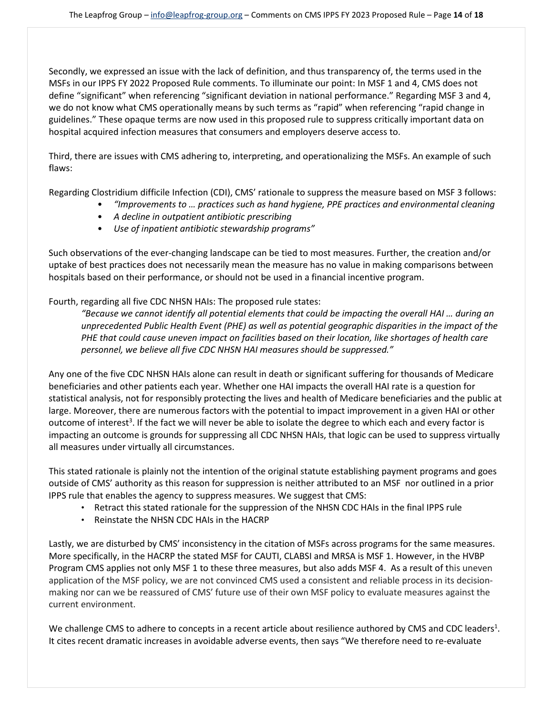Secondly, we expressed an issue with the lack of definition, and thus transparency of, the terms used in the MSFs in our IPPS FY 2022 Proposed Rule comments. To illuminate our point: In MSF 1 and 4, CMS does not define "significant" when referencing "significant deviation in national performance." Regarding MSF 3 and 4, we do not know what CMS operationally means by such terms as "rapid" when referencing "rapid change in guidelines." These opaque terms are now used in this proposed rule to suppress critically important data on hospital acquired infection measures that consumers and employers deserve access to.

Third, there are issues with CMS adhering to, interpreting, and operationalizing the MSFs. An example of such flaws:

Regarding Clostridium difficile Infection (CDI), CMS' rationale to suppress the measure based on MSF 3 follows:

- *"Improvements to … practices such as hand hygiene, PPE practices and environmental cleaning*
- *A decline in outpatient antibiotic prescribing*
- *Use of inpatient antibiotic stewardship programs"*

Such observations of the ever-changing landscape can be tied to most measures. Further, the creation and/or uptake of best practices does not necessarily mean the measure has no value in making comparisons between hospitals based on their performance, or should not be used in a financial incentive program.

## Fourth, regarding all five CDC NHSN HAIs: The proposed rule states:

*"Because we cannot identify all potential elements that could be impacting the overall HAI … during an unprecedented Public Health Event (PHE) as well as potential geographic disparities in the impact of the PHE that could cause uneven impact on facilities based on their location, like shortages of health care personnel, we believe all five CDC NHSN HAI measures should be suppressed."*

Any one of the five CDC NHSN HAIs alone can result in death or significant suffering for thousands of Medicare beneficiaries and other patients each year. Whether one HAI impacts the overall HAI rate is a question for statistical analysis, not for responsibly protecting the lives and health of Medicare beneficiaries and the public at large. Moreover, there are numerous factors with the potential to impact improvement in a given HAI or other outcome of interest<sup>3</sup>. If the fact we will never be able to isolate the degree to which each and every factor is impacting an outcome is grounds for suppressing all CDC NHSN HAIs, that logic can be used to suppress virtually all measures under virtually all circumstances.

This stated rationale is plainly not the intention of the original statute establishing payment programs and goes outside of CMS' authority as this reason for suppression is neither attributed to an MSF nor outlined in a prior IPPS rule that enables the agency to suppress measures. We suggest that CMS:

- Retract this stated rationale for the suppression of the NHSN CDC HAIs in the final IPPS rule
- Reinstate the NHSN CDC HAIs in the HACRP

Lastly, we are disturbed by CMS' inconsistency in the citation of MSFs across programs for the same measures. More specifically, in the HACRP the stated MSF for CAUTI, CLABSI and MRSA is MSF 1. However, in the HVBP Program CMS applies not only MSF 1 to these three measures, but also adds MSF 4. As a result of this uneven application of the MSF policy, we are not convinced CMS used a consistent and reliable process in its decisionmaking nor can we be reassured of CMS' future use of their own MSF policy to evaluate measures against the current environment.

We challenge CMS to adhere to concepts in a recent article about resilience authored by CMS and CDC leaders<sup>1</sup>. It cites recent dramatic increases in avoidable adverse events, then says "We therefore need to re-evaluate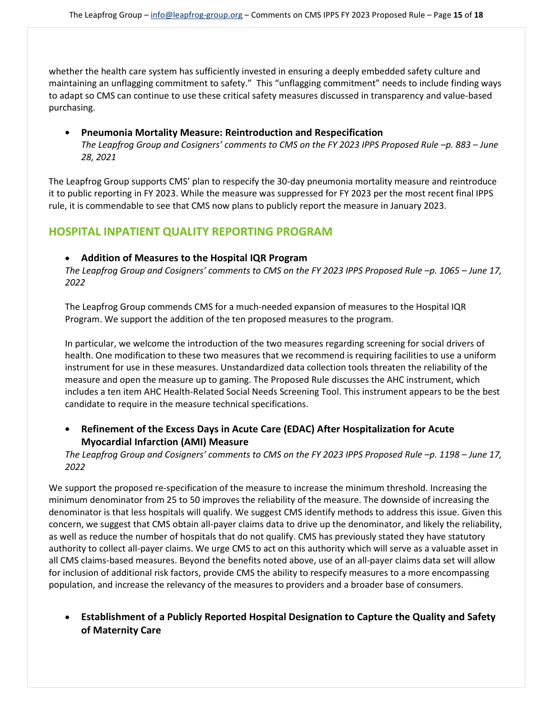whether the health care system has sufficiently invested in ensuring a deeply embedded safety culture and maintaining an unflagging commitment to safety." This "unflagging commitment" needs to include finding ways to adapt so CMS can continue to use these critical safety measures discussed in transparency and value-based purchasing.

## • **Pneumonia Mortality Measure: Reintroduction and Respecification**

*The Leapfrog Group and Cosigners' comments to CMS on the FY 2023 IPPS Proposed Rule –p. 883 – June 28, 2021* 

The Leapfrog Group supports CMS' plan to respecify the 30-day pneumonia mortality measure and reintroduce it to public reporting in FY 2023. While the measure was suppressed for FY 2023 per the most recent final IPPS rule, it is commendable to see that CMS now plans to publicly report the measure in January 2023.

# **HOSPITAL INPATIENT QUALITY REPORTING PROGRAM**

#### • **Addition of Measures to the Hospital IQR Program**

*The Leapfrog Group and Cosigners' comments to CMS on the FY 2023 IPPS Proposed Rule –p. 1065 – June 17, 2022* 

The Leapfrog Group commends CMS for a much-needed expansion of measures to the Hospital IQR Program. We support the addition of the ten proposed measures to the program.

In particular, we welcome the introduction of the two measures regarding screening for social drivers of health. One modification to these two measures that we recommend is requiring facilities to use a uniform instrument for use in these measures. Unstandardized data collection tools threaten the reliability of the measure and open the measure up to gaming. The Proposed Rule discusses the AHC instrument, which includes a ten item AHC Health-Related Social Needs Screening Tool. This instrument appears to be the best candidate to require in the measure technical specifications.

# • **Refinement of the Excess Days in Acute Care (EDAC) After Hospitalization for Acute Myocardial Infarction (AMI) Measure**

*The Leapfrog Group and Cosigners' comments to CMS on the FY 2023 IPPS Proposed Rule –p. 1198 – June 17, 2022* 

We support the proposed re-specification of the measure to increase the minimum threshold. Increasing the minimum denominator from 25 to 50 improves the reliability of the measure. The downside of increasing the denominator is that less hospitals will qualify. We suggest CMS identify methods to address this issue. Given this concern, we suggest that CMS obtain all-payer claims data to drive up the denominator, and likely the reliability, as well as reduce the number of hospitals that do not qualify. CMS has previously stated they have statutory authority to collect all-payer claims. We urge CMS to act on this authority which will serve as a valuable asset in all CMS claims-based measures. Beyond the benefits noted above, use of an all-payer claims data set will allow for inclusion of additional risk factors, provide CMS the ability to respecify measures to a more encompassing population, and increase the relevancy of the measures to providers and a broader base of consumers.

• **Establishment of a Publicly Reported Hospital Designation to Capture the Quality and Safety of Maternity Care**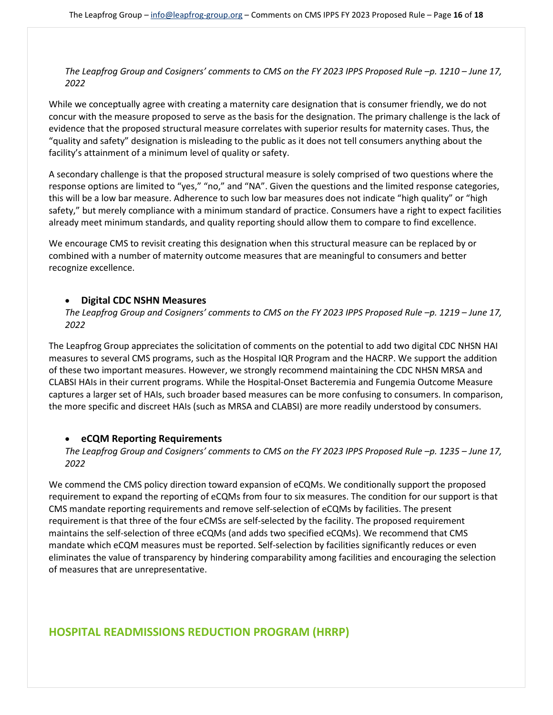*The Leapfrog Group and Cosigners' comments to CMS on the FY 2023 IPPS Proposed Rule –p. 1210 – June 17, 2022* 

While we conceptually agree with creating a maternity care designation that is consumer friendly, we do not concur with the measure proposed to serve as the basis for the designation. The primary challenge is the lack of evidence that the proposed structural measure correlates with superior results for maternity cases. Thus, the "quality and safety" designation is misleading to the public as it does not tell consumers anything about the facility's attainment of a minimum level of quality or safety.

A secondary challenge is that the proposed structural measure is solely comprised of two questions where the response options are limited to "yes," "no," and "NA". Given the questions and the limited response categories, this will be a low bar measure. Adherence to such low bar measures does not indicate "high quality" or "high safety," but merely compliance with a minimum standard of practice. Consumers have a right to expect facilities already meet minimum standards, and quality reporting should allow them to compare to find excellence.

We encourage CMS to revisit creating this designation when this structural measure can be replaced by or combined with a number of maternity outcome measures that are meaningful to consumers and better recognize excellence.

#### • **Digital CDC NSHN Measures**

*The Leapfrog Group and Cosigners' comments to CMS on the FY 2023 IPPS Proposed Rule –p. 1219 – June 17, 2022* 

The Leapfrog Group appreciates the solicitation of comments on the potential to add two digital CDC NHSN HAI measures to several CMS programs, such as the Hospital IQR Program and the HACRP. We support the addition of these two important measures. However, we strongly recommend maintaining the CDC NHSN MRSA and CLABSI HAIs in their current programs. While the Hospital-Onset Bacteremia and Fungemia Outcome Measure captures a larger set of HAIs, such broader based measures can be more confusing to consumers. In comparison, the more specific and discreet HAIs (such as MRSA and CLABSI) are more readily understood by consumers.

## • **eCQM Reporting Requirements**

*The Leapfrog Group and Cosigners' comments to CMS on the FY 2023 IPPS Proposed Rule –p. 1235 – June 17, 2022* 

We commend the CMS policy direction toward expansion of eCQMs. We conditionally support the proposed requirement to expand the reporting of eCQMs from four to six measures. The condition for our support is that CMS mandate reporting requirements and remove self-selection of eCQMs by facilities. The present requirement is that three of the four eCMSs are self-selected by the facility. The proposed requirement maintains the self-selection of three eCQMs (and adds two specified eCQMs). We recommend that CMS mandate which eCQM measures must be reported. Self-selection by facilities significantly reduces or even eliminates the value of transparency by hindering comparability among facilities and encouraging the selection of measures that are unrepresentative.

# **HOSPITAL READMISSIONS REDUCTION PROGRAM (HRRP)**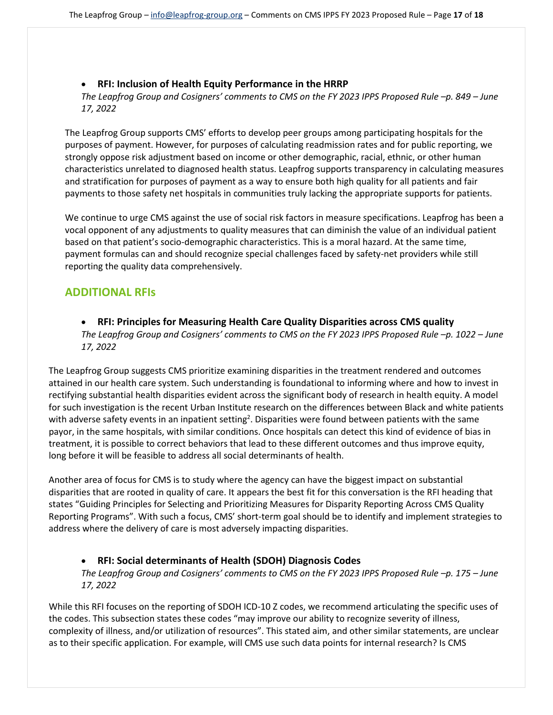## • **RFI: Inclusion of Health Equity Performance in the HRRP**

*The Leapfrog Group and Cosigners' comments to CMS on the FY 2023 IPPS Proposed Rule –p. 849 – June 17, 2022* 

The Leapfrog Group supports CMS' efforts to develop peer groups among participating hospitals for the purposes of payment. However, for purposes of calculating readmission rates and for public reporting, we strongly oppose risk adjustment based on income or other demographic, racial, ethnic, or other human characteristics unrelated to diagnosed health status. Leapfrog supports transparency in calculating measures and stratification for purposes of payment as a way to ensure both high quality for all patients and fair payments to those safety net hospitals in communities truly lacking the appropriate supports for patients.

We continue to urge CMS against the use of social risk factors in measure specifications. Leapfrog has been a vocal opponent of any adjustments to quality measures that can diminish the value of an individual patient based on that patient's socio-demographic characteristics. This is a moral hazard. At the same time, payment formulas can and should recognize special challenges faced by safety-net providers while still reporting the quality data comprehensively.

# **ADDITIONAL RFIs**

• **RFI: Principles for Measuring Health Care Quality Disparities across CMS quality** *The Leapfrog Group and Cosigners' comments to CMS on the FY 2023 IPPS Proposed Rule –p. 1022 – June 17, 2022* 

The Leapfrog Group suggests CMS prioritize examining disparities in the treatment rendered and outcomes attained in our health care system. Such understanding is foundational to informing where and how to invest in rectifying substantial health disparities evident across the significant body of research in health equity. A model for such investigation is the recent Urban Institute research on the differences between Black and white patients with adverse safety events in an inpatient setting<sup>2</sup>. Disparities were found between patients with the same payor, in the same hospitals, with similar conditions. Once hospitals can detect this kind of evidence of bias in treatment, it is possible to correct behaviors that lead to these different outcomes and thus improve equity, long before it will be feasible to address all social determinants of health.

Another area of focus for CMS is to study where the agency can have the biggest impact on substantial disparities that are rooted in quality of care. It appears the best fit for this conversation is the RFI heading that states "Guiding Principles for Selecting and Prioritizing Measures for Disparity Reporting Across CMS Quality Reporting Programs". With such a focus, CMS' short-term goal should be to identify and implement strategies to address where the delivery of care is most adversely impacting disparities.

## • **RFI: Social determinants of Health (SDOH) Diagnosis Codes**

*The Leapfrog Group and Cosigners' comments to CMS on the FY 2023 IPPS Proposed Rule –p. 175 – June 17, 2022* 

While this RFI focuses on the reporting of SDOH ICD-10 Z codes, we recommend articulating the specific uses of the codes. This subsection states these codes "may improve our ability to recognize severity of illness, complexity of illness, and/or utilization of resources". This stated aim, and other similar statements, are unclear as to their specific application. For example, will CMS use such data points for internal research? Is CMS